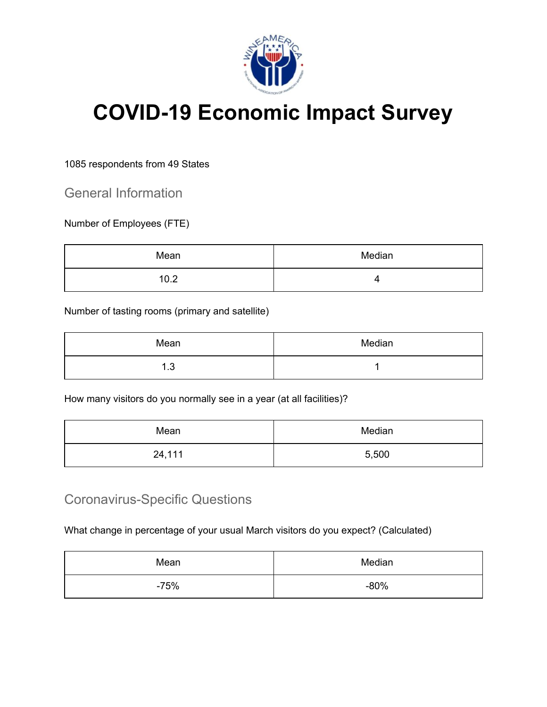

## **COVID-19 Economic Impact Survey**

## 1085 respondents from 49 States

General Information

Number of Employees (FTE)

| Mean | Median           |
|------|------------------|
| 10.2 | $\mathbf{u}$<br> |

Number of tasting rooms (primary and satellite)

| Mean           | Median |
|----------------|--------|
| ູ<br>л<br>د. ا |        |

How many visitors do you normally see in a year (at all facilities)?

| Mean   | Median |
|--------|--------|
| 24,111 | 5,500  |

## Coronavirus-Specific Questions

What change in percentage of your usual March visitors do you expect? (Calculated)

| Mean   | Median |
|--------|--------|
| $-75%$ | $-80%$ |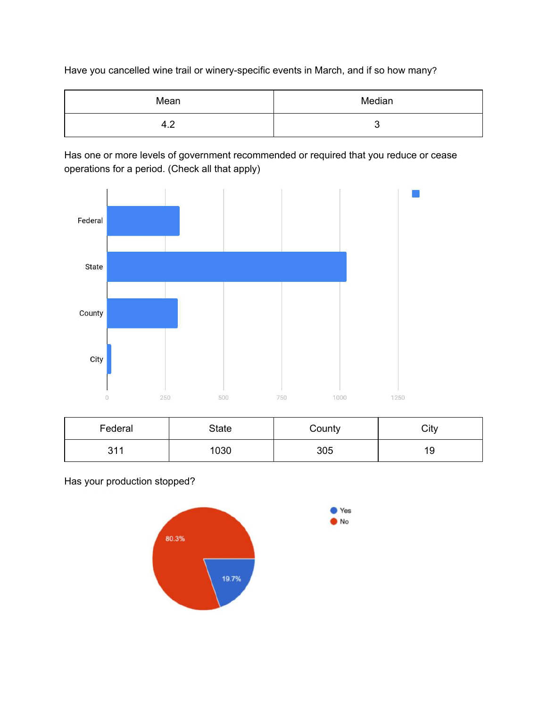Have you cancelled wine trail or winery-specific events in March, and if so how many?

| Mean              | Median |
|-------------------|--------|
| $\epsilon$<br>4.2 |        |

Has one or more levels of government recommended or required that you reduce or cease operations for a period. (Check all that apply)



| Federal           | State | County | City |
|-------------------|-------|--------|------|
| 311<br><b>UII</b> | 1030  | 305    | 19   |

Yes

Has your production stopped?

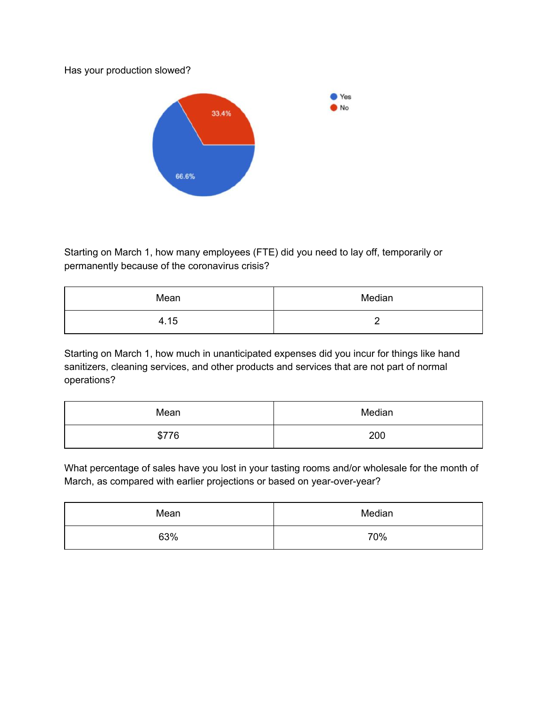Has your production slowed?



Starting on March 1, how many employees (FTE) did you need to lay off, temporarily or permanently because of the coronavirus crisis?

| Mean | Median |
|------|--------|
| 4.15 | -      |

Starting on March 1, how much in unanticipated expenses did you incur for things like hand sanitizers, cleaning services, and other products and services that are not part of normal operations?

| Mean  | Median |
|-------|--------|
| \$776 | 200    |

What percentage of sales have you lost in your tasting rooms and/or wholesale for the month of March, as compared with earlier projections or based on year-over-year?

| Mean | Median |
|------|--------|
| 63%  | 70%    |